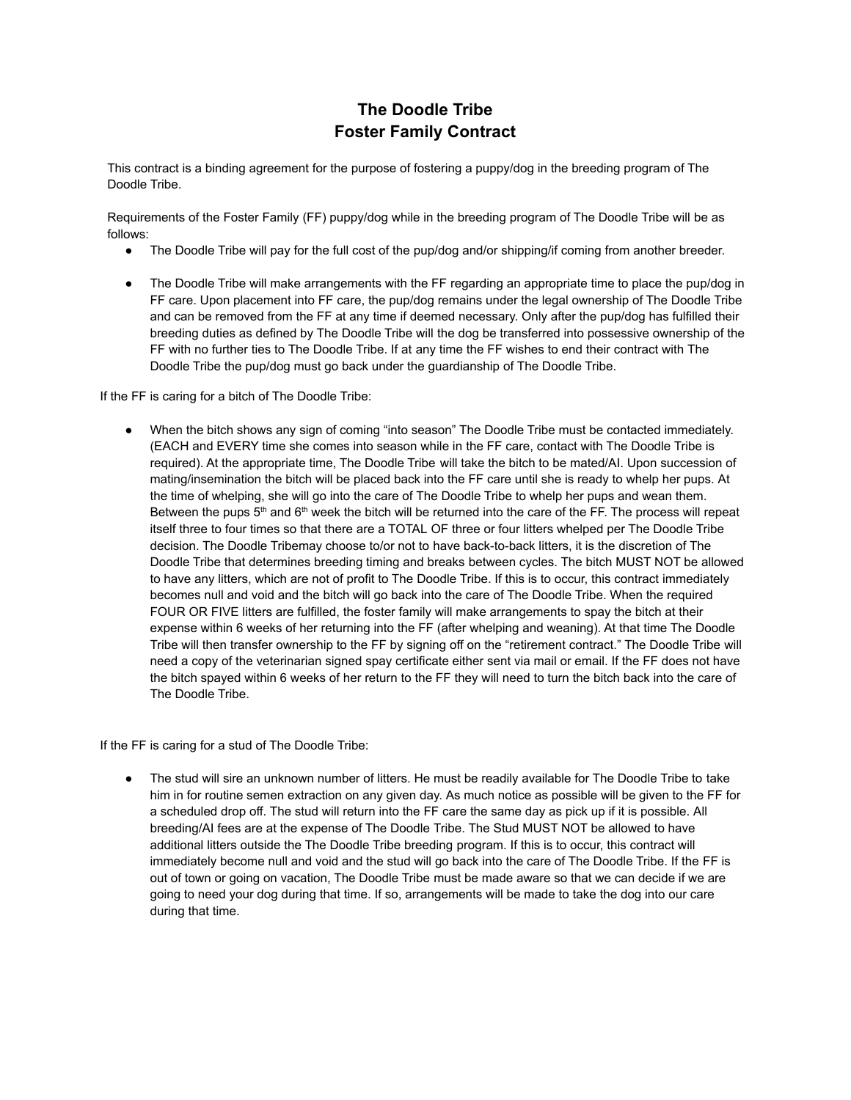# **The Doodle Tribe Foster Family Contract**

This contract is a binding agreement for the purpose of fostering a puppy/dog in the breeding program of The Doodle Tribe.

Requirements of the Foster Family (FF) puppy/dog while in the breeding program of The Doodle Tribe will be as follows:

- The Doodle Tribe will pay for the full cost of the pup/dog and/or shipping/if coming from another breeder.
- The Doodle Tribe will make arrangements with the FF regarding an appropriate time to place the pup/dog in FF care. Upon placement into FF care, the pup/dog remains under the legal ownership of The Doodle Tribe and can be removed from the FF at any time if deemed necessary. Only after the pup/dog has fulfilled their breeding duties as defined by The Doodle Tribe will the dog be transferred into possessive ownership of the FF with no further ties to The Doodle Tribe. If at any time the FF wishes to end their contract with The Doodle Tribe the pup/dog must go back under the guardianship of The Doodle Tribe.

If the FF is caring for a bitch of The Doodle Tribe:

● When the bitch shows any sign of coming "into season" The Doodle Tribe must be contacted immediately. (EACH and EVERY time she comes into season while in the FF care, contact with The Doodle Tribe is required). At the appropriate time, The Doodle Tribe will take the bitch to be mated/AI. Upon succession of mating/insemination the bitch will be placed back into the FF care until she is ready to whelp her pups. At the time of whelping, she will go into the care of The Doodle Tribe to whelp her pups and wean them. Between the pups  $5<sup>th</sup>$  and  $6<sup>th</sup>$  week the bitch will be returned into the care of the FF. The process will repeat itself three to four times so that there are a TOTAL OF three or four litters whelped per The Doodle Tribe decision. The Doodle Tribemay choose to/or not to have back-to-back litters, it is the discretion of The Doodle Tribe that determines breeding timing and breaks between cycles. The bitch MUST NOT be allowed to have any litters, which are not of profit to The Doodle Tribe. If this is to occur, this contract immediately becomes null and void and the bitch will go back into the care of The Doodle Tribe. When the required FOUR OR FIVE litters are fulfilled, the foster family will make arrangements to spay the bitch at their expense within 6 weeks of her returning into the FF (after whelping and weaning). At that time The Doodle Tribe will then transfer ownership to the FF by signing off on the "retirement contract." The Doodle Tribe will need a copy of the veterinarian signed spay certificate either sent via mail or email. If the FF does not have the bitch spayed within 6 weeks of her return to the FF they will need to turn the bitch back into the care of The Doodle Tribe.

If the FF is caring for a stud of The Doodle Tribe:

The stud will sire an unknown number of litters. He must be readily available for The Doodle Tribe to take him in for routine semen extraction on any given day. As much notice as possible will be given to the FF for a scheduled drop off. The stud will return into the FF care the same day as pick up if it is possible. All breeding/AI fees are at the expense of The Doodle Tribe. The Stud MUST NOT be allowed to have additional litters outside the The Doodle Tribe breeding program. If this is to occur, this contract will immediately become null and void and the stud will go back into the care of The Doodle Tribe. If the FF is out of town or going on vacation, The Doodle Tribe must be made aware so that we can decide if we are going to need your dog during that time. If so, arrangements will be made to take the dog into our care during that time.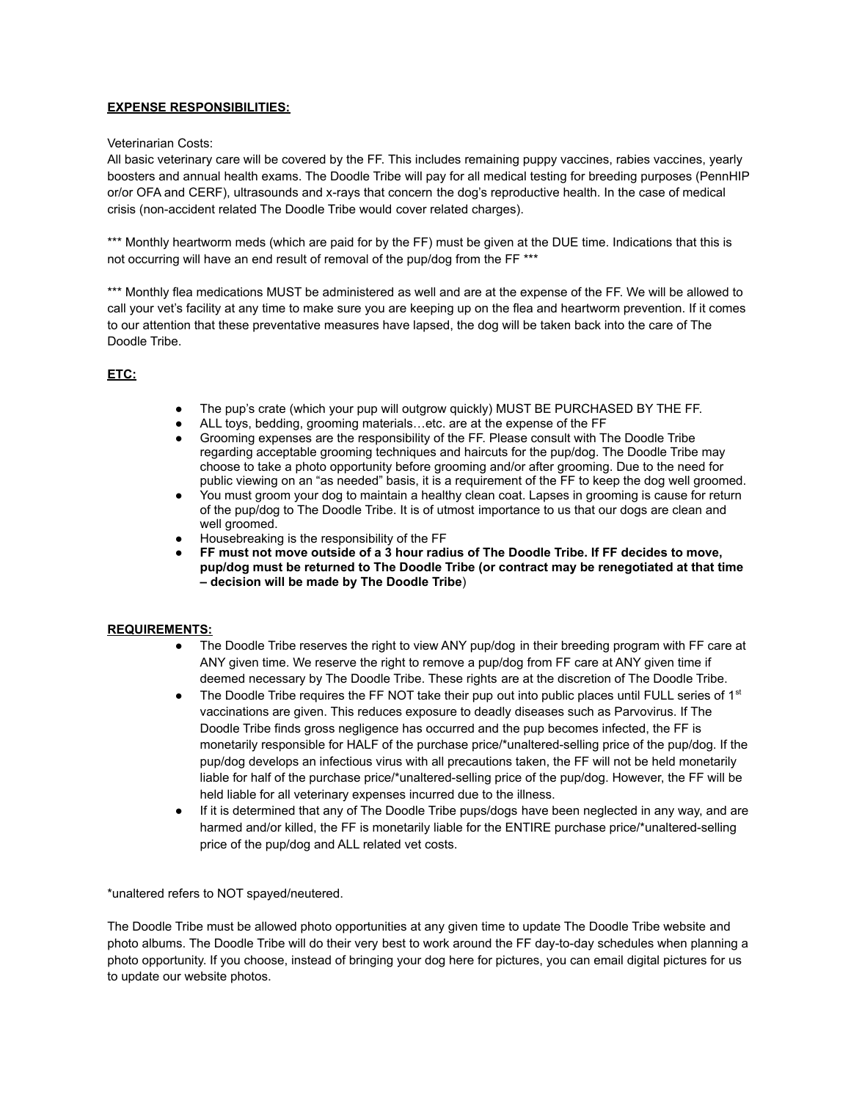# **EXPENSE RESPONSIBILITIES:**

## Veterinarian Costs:

All basic veterinary care will be covered by the FF. This includes remaining puppy vaccines, rabies vaccines, yearly boosters and annual health exams. The Doodle Tribe will pay for all medical testing for breeding purposes (PennHIP or/or OFA and CERF), ultrasounds and x-rays that concern the dog's reproductive health. In the case of medical crisis (non-accident related The Doodle Tribe would cover related charges).

\*\*\* Monthly heartworm meds (which are paid for by the FF) must be given at the DUE time. Indications that this is not occurring will have an end result of removal of the pup/dog from the FF \*\*\*

\*\*\* Monthly flea medications MUST be administered as well and are at the expense of the FF. We will be allowed to call your vet's facility at any time to make sure you are keeping up on the flea and heartworm prevention. If it comes to our attention that these preventative measures have lapsed, the dog will be taken back into the care of The Doodle Tribe.

# **ETC:**

- The pup's crate (which your pup will outgrow quickly) MUST BE PURCHASED BY THE FF.
- ALL toys, bedding, grooming materials…etc. are at the expense of the FF<br>● Grooming expenses are the responsibility of the FF. Please consult with TI
- Grooming expenses are the responsibility of the FF. Please consult with The Doodle Tribe regarding acceptable grooming techniques and haircuts for the pup/dog. The Doodle Tribe may choose to take a photo opportunity before grooming and/or after grooming. Due to the need for public viewing on an "as needed" basis, it is a requirement of the FF to keep the dog well groomed.
- You must groom your dog to maintain a healthy clean coat. Lapses in grooming is cause for return of the pup/dog to The Doodle Tribe. It is of utmost importance to us that our dogs are clean and well groomed.
- Housebreaking is the responsibility of the FF
- **FF must not move outside of a 3 hour radius of The Doodle Tribe. If FF decides to move, pup/dog must be returned to The Doodle Tribe (or contract may be renegotiated at that time – decision will be made by The Doodle Tribe**)

## **REQUIREMENTS:**

- The Doodle Tribe reserves the right to view ANY pup/dog in their breeding program with FF care at ANY given time. We reserve the right to remove a pup/dog from FF care at ANY given time if deemed necessary by The Doodle Tribe. These rights are at the discretion of The Doodle Tribe.
- $\bullet$  The Doodle Tribe requires the FF NOT take their pup out into public places until FULL series of 1<sup>st</sup> vaccinations are given. This reduces exposure to deadly diseases such as Parvovirus. If The Doodle Tribe finds gross negligence has occurred and the pup becomes infected, the FF is monetarily responsible for HALF of the purchase price/\*unaltered-selling price of the pup/dog. If the pup/dog develops an infectious virus with all precautions taken, the FF will not be held monetarily liable for half of the purchase price/\*unaltered-selling price of the pup/dog. However, the FF will be held liable for all veterinary expenses incurred due to the illness.
- If it is determined that any of The Doodle Tribe pups/dogs have been neglected in any way, and are harmed and/or killed, the FF is monetarily liable for the ENTIRE purchase price/\*unaltered-selling price of the pup/dog and ALL related vet costs.

\*unaltered refers to NOT spayed/neutered.

The Doodle Tribe must be allowed photo opportunities at any given time to update The Doodle Tribe website and photo albums. The Doodle Tribe will do their very best to work around the FF day-to-day schedules when planning a photo opportunity. If you choose, instead of bringing your dog here for pictures, you can email digital pictures for us to update our website photos.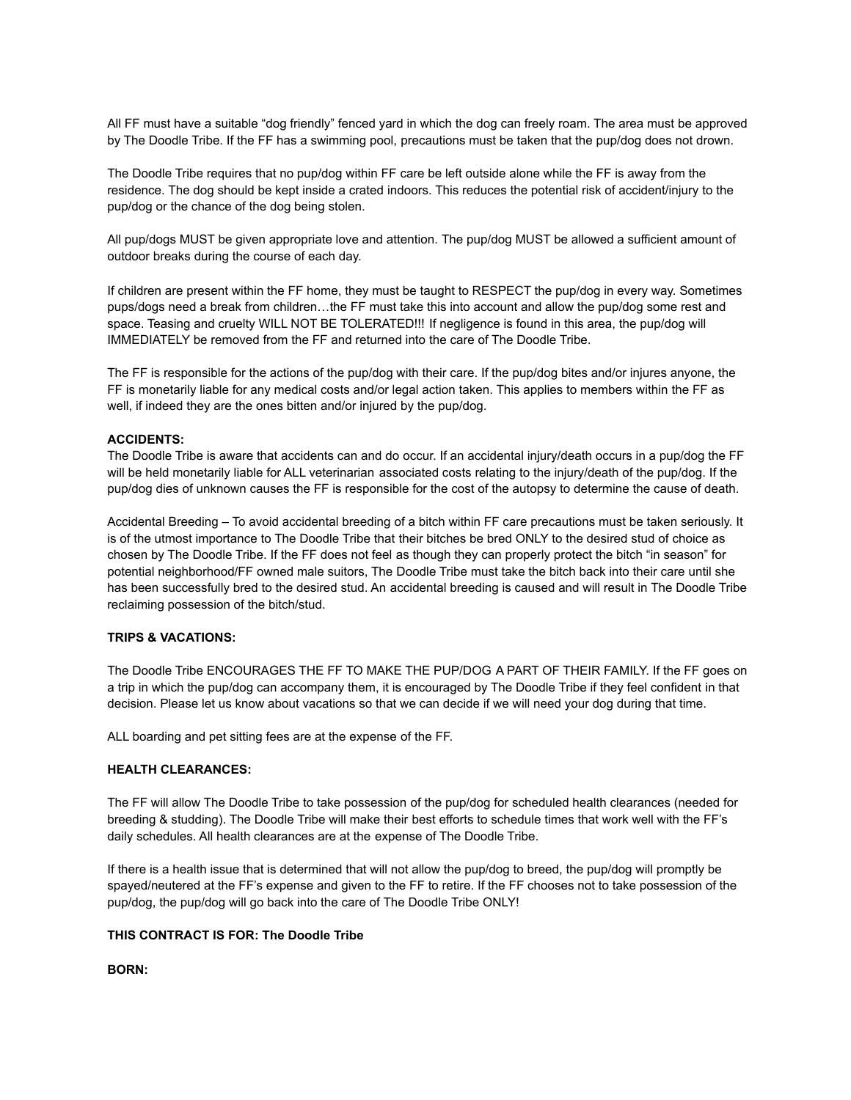All FF must have a suitable "dog friendly" fenced yard in which the dog can freely roam. The area must be approved by The Doodle Tribe. If the FF has a swimming pool, precautions must be taken that the pup/dog does not drown.

The Doodle Tribe requires that no pup/dog within FF care be left outside alone while the FF is away from the residence. The dog should be kept inside a crated indoors. This reduces the potential risk of accident/injury to the pup/dog or the chance of the dog being stolen.

All pup/dogs MUST be given appropriate love and attention. The pup/dog MUST be allowed a sufficient amount of outdoor breaks during the course of each day.

If children are present within the FF home, they must be taught to RESPECT the pup/dog in every way. Sometimes pups/dogs need a break from children…the FF must take this into account and allow the pup/dog some rest and space. Teasing and cruelty WILL NOT BE TOLERATED!!! If negligence is found in this area, the pup/dog will IMMEDIATELY be removed from the FF and returned into the care of The Doodle Tribe.

The FF is responsible for the actions of the pup/dog with their care. If the pup/dog bites and/or injures anyone, the FF is monetarily liable for any medical costs and/or legal action taken. This applies to members within the FF as well, if indeed they are the ones bitten and/or injured by the pup/dog.

## **ACCIDENTS:**

The Doodle Tribe is aware that accidents can and do occur. If an accidental injury/death occurs in a pup/dog the FF will be held monetarily liable for ALL veterinarian associated costs relating to the injury/death of the pup/dog. If the pup/dog dies of unknown causes the FF is responsible for the cost of the autopsy to determine the cause of death.

Accidental Breeding – To avoid accidental breeding of a bitch within FF care precautions must be taken seriously. It is of the utmost importance to The Doodle Tribe that their bitches be bred ONLY to the desired stud of choice as chosen by The Doodle Tribe. If the FF does not feel as though they can properly protect the bitch "in season" for potential neighborhood/FF owned male suitors, The Doodle Tribe must take the bitch back into their care until she has been successfully bred to the desired stud. An accidental breeding is caused and will result in The Doodle Tribe reclaiming possession of the bitch/stud.

## **TRIPS & VACATIONS:**

The Doodle Tribe ENCOURAGES THE FF TO MAKE THE PUP/DOG A PART OF THEIR FAMILY. If the FF goes on a trip in which the pup/dog can accompany them, it is encouraged by The Doodle Tribe if they feel confident in that decision. Please let us know about vacations so that we can decide if we will need your dog during that time.

ALL boarding and pet sitting fees are at the expense of the FF.

## **HEALTH CLEARANCES:**

The FF will allow The Doodle Tribe to take possession of the pup/dog for scheduled health clearances (needed for breeding & studding). The Doodle Tribe will make their best efforts to schedule times that work well with the FF's daily schedules. All health clearances are at the expense of The Doodle Tribe.

If there is a health issue that is determined that will not allow the pup/dog to breed, the pup/dog will promptly be spayed/neutered at the FF's expense and given to the FF to retire. If the FF chooses not to take possession of the pup/dog, the pup/dog will go back into the care of The Doodle Tribe ONLY!

## **THIS CONTRACT IS FOR: The Doodle Tribe**

**BORN:**